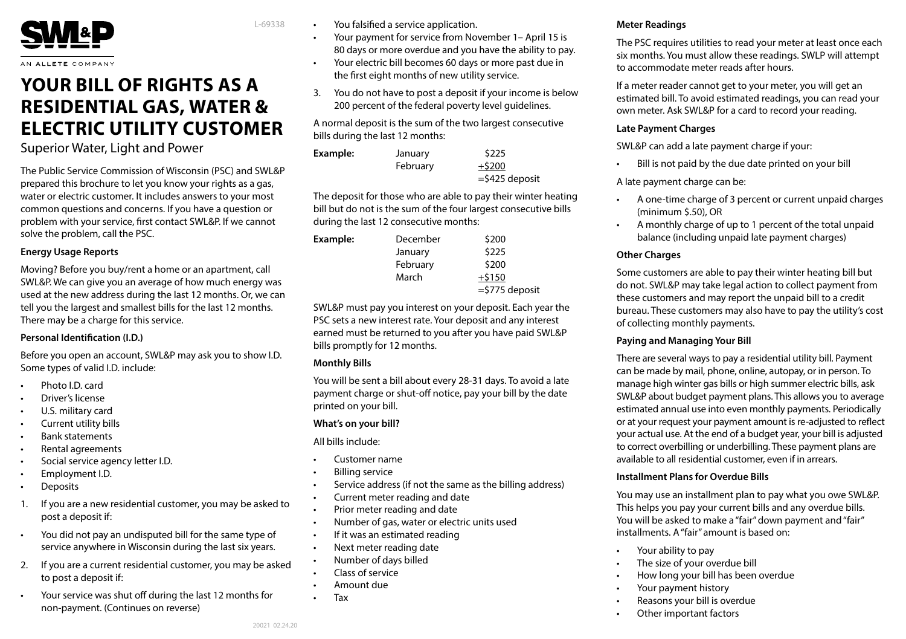

AN ALLETE COMPANY

# **YOUR BILL OF RIGHTS AS A RESIDENTIAL GAS, WATER & ELECTRIC UTILITY CUSTOMER**

# Superior Water, Light and Power

The Public Service Commission of Wisconsin (PSC) and SWL&P prepared this brochure to let you know your rights as a gas, water or electric customer. It includes answers to your most common questions and concerns. If you have a question or problem with your service, first contact SWL&P. If we cannot solve the problem, call the PSC.

#### **Energy Usage Reports**

Moving? Before you buy/rent a home or an apartment, call SWL&P. We can give you an average of how much energy was used at the new address during the last 12 months. Or, we can tell you the largest and smallest bills for the last 12 months. There may be a charge for this service.

#### **Personal Identification (I.D.)**

Before you open an account, SWL&P may ask you to show I.D. Some types of valid I.D. include:

- Photo I.D. card
- Driver's license
- U.S. military card
- Current utility bills
- Bank statements
- Rental agreements
- Social service agency letter I.D.
- Employment I.D.
- **Deposits**
- 1. If you are a new residential customer, you may be asked to post a deposit if:
- You did not pay an undisputed bill for the same type of service anywhere in Wisconsin during the last six years.
- 2. If you are a current residential customer, you may be asked to post a deposit if:
- Your service was shut off during the last 12 months for non-payment. (Continues on reverse)

You falsified a service application.

L-69338

- Your payment for service from November 1– April 15 is 80 days or more overdue and you have the ability to pay.
- Your electric bill becomes 60 days or more past due in the first eight months of new utility service.
- 3. You do not have to post a deposit if your income is below 200 percent of the federal poverty level guidelines.

A normal deposit is the sum of the two largest consecutive bills during the last 12 months:

| Example: | January  | \$225             |
|----------|----------|-------------------|
|          | February | $+ $200$          |
|          |          | $=$ \$425 deposit |

The deposit for those who are able to pay their winter heating bill but do not is the sum of the four largest consecutive bills during the last 12 consecutive months:

| Example: | December | \$200             |
|----------|----------|-------------------|
|          | January  | \$225             |
|          | February | \$200             |
|          | March    | $+5150$           |
|          |          | $=$ \$775 deposit |

SWL&P must pay you interest on your deposit. Each year the PSC sets a new interest rate. Your deposit and any interest earned must be returned to you after you have paid SWL&P bills promptly for 12 months.

# **Monthly Bills**

You will be sent a bill about every 28-31 days. To avoid a late payment charge or shut-off notice, pay your bill by the date printed on your bill.

# **What's on your bill?**

All bills include:

- Customer name
- Billing service
- Service address (if not the same as the billing address)
- Current meter reading and date
- Prior meter reading and date
- Number of gas, water or electric units used
- If it was an estimated reading
- Next meter reading date
- Number of days billed
- Class of service
- Amount due
- Tax

# **Meter Readings**

The PSC requires utilities to read your meter at least once each six months. You must allow these readings. SWLP will attempt to accommodate meter reads after hours.

If a meter reader cannot get to your meter, you will get an estimated bill. To avoid estimated readings, you can read your own meter. Ask SWL&P for a card to record your reading.

## **Late Payment Charges**

SWL&P can add a late payment charge if your:

Bill is not paid by the due date printed on your bill

A late payment charge can be:

- A one-time charge of 3 percent or current unpaid charges (minimum \$.50), OR
- A monthly charge of up to 1 percent of the total unpaid balance (including unpaid late payment charges)

# **Other Charges**

Some customers are able to pay their winter heating bill but do not. SWL&P may take legal action to collect payment from these customers and may report the unpaid bill to a credit bureau. These customers may also have to pay the utility's cost of collecting monthly payments.

# **Paying and Managing Your Bill**

There are several ways to pay a residential utility bill. Payment can be made by mail, phone, online, autopay, or in person. To manage high winter gas bills or high summer electric bills, ask SWL&P about budget payment plans. This allows you to average estimated annual use into even monthly payments. Periodically or at your request your payment amount is re-adjusted to reflect your actual use. At the end of a budget year, your bill is adjusted to correct overbilling or underbilling. These payment plans are available to all residential customer, even if in arrears.

# **Installment Plans for Overdue Bills**

You may use an installment plan to pay what you owe SWL&P. This helps you pay your current bills and any overdue bills. You will be asked to make a "fair" down payment and "fair" installments. A "fair" amount is based on:

- Your ability to pay
- The size of your overdue bill
- How long your bill has been overdue
- Your payment history
- Reasons your bill is overdue
- Other important factors